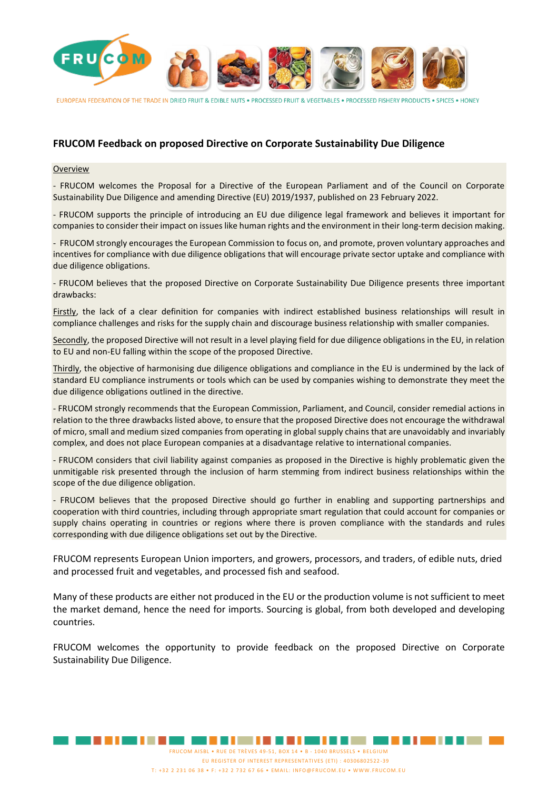

FUROPFAN FEDERATION OF THE TRADE IN DRIED FRUIT & EDIBLE NUTS . PROCESSED FRUIT & VEGETABLES . PROCESSED FISHERY PRODUCTS . SPICES . HONEY

# **FRUCOM Feedback on proposed Directive on Corporate Sustainability Due Diligence**

#### **Overview**

- FRUCOM welcomes the Proposal for a Directive of the European Parliament and of the Council on Corporate Sustainability Due Diligence and amending Directive (EU) 2019/1937, published on 23 February 2022.

- FRUCOM supports the principle of introducing an EU due diligence legal framework and believes it important for companies to consider their impact on issues like human rights and the environment in their long-term decision making.

- FRUCOM strongly encourages the European Commission to focus on, and promote, proven voluntary approaches and incentives for compliance with due diligence obligations that will encourage private sector uptake and compliance with due diligence obligations.

- FRUCOM believes that the proposed Directive on Corporate Sustainability Due Diligence presents three important drawbacks:

Firstly, the lack of a clear definition for companies with indirect established business relationships will result in compliance challenges and risks for the supply chain and discourage business relationship with smaller companies.

Secondly, the proposed Directive will not result in a level playing field for due diligence obligations in the EU, in relation to EU and non-EU falling within the scope of the proposed Directive.

Thirdly, the objective of harmonising due diligence obligations and compliance in the EU is undermined by the lack of standard EU compliance instruments or tools which can be used by companies wishing to demonstrate they meet the due diligence obligations outlined in the directive.

- FRUCOM strongly recommends that the European Commission, Parliament, and Council, consider remedial actions in relation to the three drawbacks listed above, to ensure that the proposed Directive does not encourage the withdrawal of micro, small and medium sized companies from operating in global supply chains that are unavoidably and invariably complex, and does not place European companies at a disadvantage relative to international companies.

- FRUCOM considers that civil liability against companies as proposed in the Directive is highly problematic given the unmitigable risk presented through the inclusion of harm stemming from indirect business relationships within the scope of the due diligence obligation.

- FRUCOM believes that the proposed Directive should go further in enabling and supporting partnerships and cooperation with third countries, including through appropriate smart regulation that could account for companies or supply chains operating in countries or regions where there is proven compliance with the standards and rules corresponding with due diligence obligations set out by the Directive.

FRUCOM represents European Union importers, and growers, processors, and traders, of edible nuts, dried and processed fruit and vegetables, and processed fish and seafood.

Many of these products are either not produced in the EU or the production volume is not sufficient to meet the market demand, hence the need for imports. Sourcing is global, from both developed and developing countries.

FRUCOM welcomes the opportunity to provide feedback on the proposed Directive on Corporate Sustainability Due Diligence.

FRUCOM AISBL • RUE DE TRÈVES 49-51, BOX 14 • B - 1040 BRUSSELS • BELGIUM

T: +32 2 231 06 38 • F: +32 2 732 67 66 • EMAIL: INFO@FRUCOM.EU • WWW.FRUCOM.EU

EU REGISTER OF INTEREST REPRESENTATIVES (ETI) : 40306802522 -39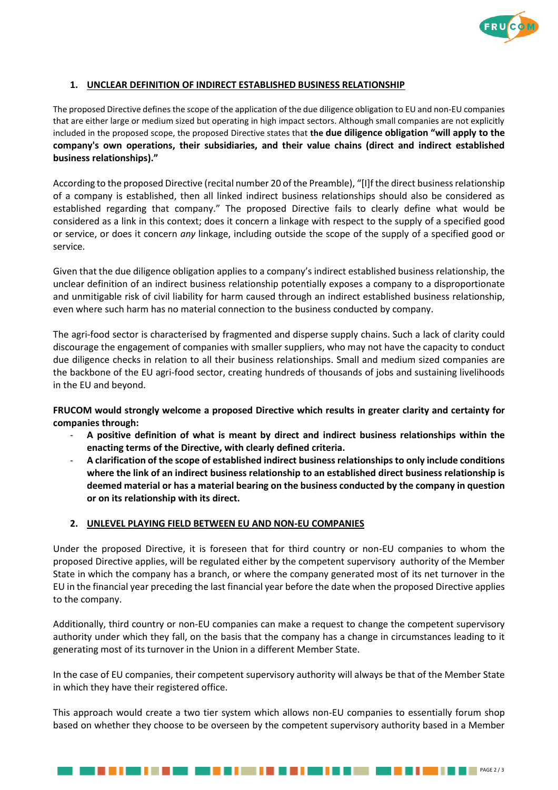

## **1. UNCLEAR DEFINITION OF INDIRECT ESTABLISHED BUSINESS RELATIONSHIP**

The proposed Directive defines the scope of the application of the due diligence obligation to EU and non-EU companies that are either large or medium sized but operating in high impact sectors. Although small companies are not explicitly included in the proposed scope, the proposed Directive states that **the due diligence obligation "will apply to the company's own operations, their subsidiaries, and their value chains (direct and indirect established business relationships)."**

According to the proposed Directive (recital number 20 of the Preamble), "[I]f the direct business relationship of a company is established, then all linked indirect business relationships should also be considered as established regarding that company." The proposed Directive fails to clearly define what would be considered as a link in this context; does it concern a linkage with respect to the supply of a specified good or service, or does it concern *any* linkage, including outside the scope of the supply of a specified good or service.

Given that the due diligence obligation applies to a company's indirect established business relationship, the unclear definition of an indirect business relationship potentially exposes a company to a disproportionate and unmitigable risk of civil liability for harm caused through an indirect established business relationship, even where such harm has no material connection to the business conducted by company.

The agri-food sector is characterised by fragmented and disperse supply chains. Such a lack of clarity could discourage the engagement of companies with smaller suppliers, who may not have the capacity to conduct due diligence checks in relation to all their business relationships. Small and medium sized companies are the backbone of the EU agri-food sector, creating hundreds of thousands of jobs and sustaining livelihoods in the EU and beyond.

**FRUCOM would strongly welcome a proposed Directive which results in greater clarity and certainty for companies through:**

- **A positive definition of what is meant by direct and indirect business relationships within the enacting terms of the Directive, with clearly defined criteria.**
- **A clarification of the scope of established indirect business relationships to only include conditions where the link of an indirect business relationship to an established direct business relationship is deemed material or has a material bearing on the business conducted by the company in question or on its relationship with its direct.**

## **2. UNLEVEL PLAYING FIELD BETWEEN EU AND NON-EU COMPANIES**

Under the proposed Directive, it is foreseen that for third country or non-EU companies to whom the proposed Directive applies, will be regulated either by the competent supervisory authority of the Member State in which the company has a branch, or where the company generated most of its net turnover in the EU in the financial year preceding the last financial year before the date when the proposed Directive applies to the company.

Additionally, third country or non-EU companies can make a request to change the competent supervisory authority under which they fall, on the basis that the company has a change in circumstances leading to it generating most of its turnover in the Union in a different Member State.

In the case of EU companies, their competent supervisory authority will always be that of the Member State in which they have their registered office.

This approach would create a two tier system which allows non-EU companies to essentially forum shop based on whether they choose to be overseen by the competent supervisory authority based in a Member